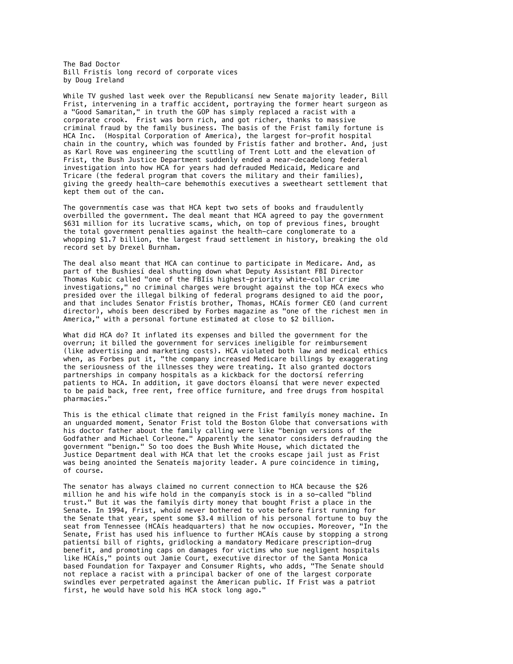The Bad Doctor Bill Fristís long record of corporate vices by Doug Ireland

While TV gushed last week over the Republicansí new Senate majority leader, Bill Frist, intervening in a traffic accident, portraying the former heart surgeon as a "Good Samaritan," in truth the GOP has simply replaced a racist with a corporate crook. Frist was born rich, and got richer, thanks to massive criminal fraud by the family business. The basis of the Frist family fortune is HCA Inc. (Hospital Corporation of America), the largest for-profit hospital chain in the country, which was founded by Fristís father and brother. And, just as Karl Rove was engineering the scuttling of Trent Lott and the elevation of Frist, the Bush Justice Department suddenly ended a near-decadelong federal investigation into how HCA for years had defrauded Medicaid, Medicare and Tricare (the federal program that covers the military and their families), giving the greedy health-care behemothís executives a sweetheart settlement that kept them out of the can.

The governmentís case was that HCA kept two sets of books and fraudulently overbilled the government. The deal meant that HCA agreed to pay the government \$631 million for its lucrative scams, which, on top of previous fines, brought the total government penalties against the health-care conglomerate to a whopping \$1.7 billion, the largest fraud settlement in history, breaking the old record set by Drexel Burnham.

The deal also meant that HCA can continue to participate in Medicare. And, as part of the Bushiesí deal shutting down what Deputy Assistant FBI Director Thomas Kubic called "one of the FBIís highest-priority white-collar crime investigations," no criminal charges were brought against the top HCA execs who presided over the illegal bilking of federal programs designed to aid the poor, and that includes Senator Fristís brother, Thomas, HCAís former CEO (and current director), whoís been described by Forbes magazine as "one of the richest men in America," with a personal fortune estimated at close to \$2 billion.

What did HCA do? It inflated its expenses and billed the government for the overrun; it billed the government for services ineligible for reimbursement (like advertising and marketing costs). HCA violated both law and medical ethics when, as Forbes put it, "the company increased Medicare billings by exaggerating the seriousness of the illnesses they were treating. It also granted doctors partnerships in company hospitals as a kickback for the doctorsí referring patients to HCA. In addition, it gave doctors ëloansí that were never expected to be paid back, free rent, free office furniture, and free drugs from hospital pharmacies."

This is the ethical climate that reigned in the Frist familyís money machine. In an unguarded moment, Senator Frist told the Boston Globe that conversations with his doctor father about the family calling were like "benign versions of the Godfather and Michael Corleone." Apparently the senator considers defrauding the government "benign." So too does the Bush White House, which dictated the Justice Department deal with HCA that let the crooks escape jail just as Frist was being anointed the Senateís majority leader. A pure coincidence in timing, of course.

The senator has always claimed no current connection to HCA because the \$26 million he and his wife hold in the companyís stock is in a so-called "blind trust." But it was the familyís dirty money that bought Frist a place in the Senate. In 1994, Frist, whoíd never bothered to vote before first running for the Senate that year, spent some \$3.4 million of his personal fortune to buy the seat from Tennessee (HCAís headquarters) that he now occupies. Moreover, "In the Senate, Frist has used his influence to further HCAís cause by stopping a strong patientsí bill of rights, gridlocking a mandatory Medicare prescription-drug benefit, and promoting caps on damages for victims who sue negligent hospitals like HCAís," points out Jamie Court, executive director of the Santa Monica based Foundation for Taxpayer and Consumer Rights, who adds, "The Senate should not replace a racist with a principal backer of one of the largest corporate swindles ever perpetrated against the American public. If Frist was a patriot first, he would have sold his HCA stock long ago."